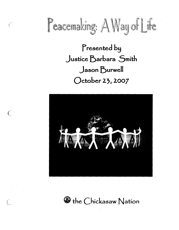

Presented by Justice Barbara Smith Jason Burwell October 23, 2007



 $\sqrt{\phantom{a}}$ 

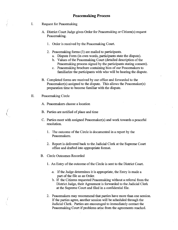- I. Request for Peacemaking
	- A. District Court Judge gives Order for Peacemaking or Citizen(s) request Peacemaking.
		- 1. Order is received by the Peacemaking Court.
		- 2. Peacemaking forms (3) are mailed to participants.
			- a. Dispute Form (in own words, participants state the dispute).
			- b. Values of the Peacemaking Court (detailed description of the Peacemaking process signed by the participants stating consent).
			- c. Peacemaking brochure containing bios of our Peacemakers to familiarize the participants with who will be hearing the dispute.
	- B. Completed forms are received by our office and forwarded to the Peacemaker(s) assigned to the dispute. This allows the Peacemaker(s) preparation time to become familiar with the dispute.
- II. Peacemaking Circle

(  $\big($ 

A. Peacemakers choose a location

B. Parties are notified of place and time

- C. Parties meet with assigned Peacemaker(s) and work towards a peaceful resolution.
	- 1. The outcome of the Circle is documented in a report by the Peacemakers.
	- 2. Report is delivered back to the Judicial Clerk at the Supreme Court office and drafted into appropriate format.
- B. Circle Outcomes Recorded
	- 1. An Entry of the outcome of the Circle is sent to the District Court.
		- . a. If the Judge determines it is appropriate, the Entry is made a part of the file as an Order.
		- b. If the Citizens requested Peacemaking without a referral from the District Judge, their Agreement is forwarded to the Judicial Clerk at the Supreme Court and filed in a confidential file.
	- 2. Peacemakers may recommend that parties have more than one session. If the parties agree, another session will be scheduled through the Judicial Clerk. Parties are encouraged to immediately contact the Peacemaking Court if problems arise from the agreements reached.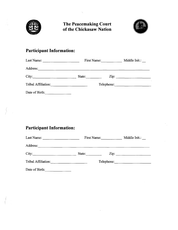



## **Participant Information:**

| Last Name:<br>$\mathbf{r}$ and $\mathbf{r}$ are the contract of $\mathbf{r}$ and $\mathbf{r}$ are the contract of $\mathbf{r}$ |        | First Name: |             |
|--------------------------------------------------------------------------------------------------------------------------------|--------|-------------|-------------|
| Address:                                                                                                                       |        |             |             |
| City:                                                                                                                          | State: |             | $\chi$ zip: |
| Tribal Affiliation:                                                                                                            |        |             | Telephone:  |
| Date of Birth:                                                                                                                 |        |             |             |

# **Participant Information:**

| Last Name:<br><u> 1989 - Johann Marie Barn, mars an t-</u> | First Name:                                                                                                      |            | Middle Init.:                                    |
|------------------------------------------------------------|------------------------------------------------------------------------------------------------------------------|------------|--------------------------------------------------|
| Address:                                                   | and the control of the control of the control of the control of the control of the control of the control of the |            |                                                  |
| City:                                                      | State:                                                                                                           |            | $\mathsf{Zip:}$                                  |
| Tribal Affiliation:                                        | the control of the control of the control of                                                                     | Telephone: | and the control of the control of the control of |
| Date of Birth:                                             |                                                                                                                  |            |                                                  |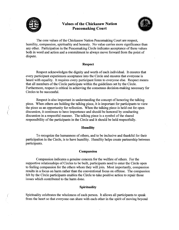

( (

(

## **Values of the Chickasaw Nation Peacemaking Court**



The core values of the Chickasaw Nation Peacemaking Court are respect, humility, compassion, spirituality and honesty. No value carries more significance than any other. Participation in the Peacemaking Circle indicates acceptance of these values both in word and action and a commitment to always move forward from the point of dispute.

#### **Respect**

Respect acknowledges the dignity and worth of each individual. It ensures that every participant experiences acceptance into the Circle and ensures that everyone is heard with equality. It requires every participant listen to everyone else. Respect means that all members of the Circle participate within the guidelines set by the Circle. Furthermore, respect is critical in achieving the consensus decision-making necessary for Circles to be successful.

Respect is also important in understanding the concept of honoring the talking piece. When others are holding the talking piece, it is important for participants to view the piece as an opportunity for reflection. When the talking piece is held out for open discussion, it continues to have importance and should be honored by conducting discussion in a respectful manner. The talking piece is a symbol of the shared responsibility of the participants in the Circle and it should be held respectfully.

#### **Humility**

To recognize the humanness of others, and to be inclusive and thankful for their participation in the Circle, is to have humility. Humility helps create partnership between participants.

#### **Compassion**

Compassion indicates a genuine concern for the welfare of others. For the supportive relationships of Circles to be built, participants need to enter the Circle open to feeling compassion for the others whom they will join. Most importantly, compassion results in a focus on harm rather than the conventional focus on offense. The compassion felt by the Circle participants enables the Circle to take positive action to repair those issues which contributed to the harm done.

#### **Spirituality**

Spirituality celebrates the wholeness of each person. It allows all participants to speak from the heart so that everyone can share with each other in the spirit of moving beyond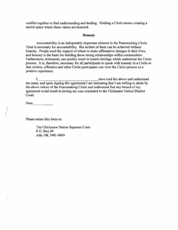conflict together to find understanding and healing. Holding a Circle means creating a sacred space where these values are honored.

#### **Honesty**

Accountability is an indisputably important element in the Peacemaking Circle. Trust is necessary for accountability. But neither of them can be achieved without honesty. People need the support of others to make affirmative changes in their lives, and honesty is the basis for building those strong relationships within communities. Furthermore, dishonesty can quickly result in hostile feelings which undermine the Circle process. It is, therefore, necessary for all participants to speak with honesty in a Circle so that victims, offenders and other Circle participants can view the Circle process as a positive experience.

I, have read the above and understand the same; and upon signing this agreement I am indicating that I am willing to abide by the above values of the Peacemaking Circle and understand that any breach of my agreement could result in having my case rescinded to the Chickasaw Nation District Court.

Date:  $\qquad \qquad$ 

 $\left(\right)$ (

Please return this form to:

The Chickasaw Nation Supreme Court P.O. Box 69 Ada, OK 7481-0069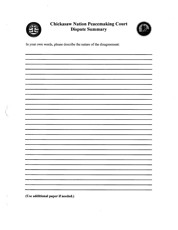

 $\frac{1}{4}$ 

## Chickasaw Nation Peacemaking Court Dispute Summary



In your own words, please describe the nature of the disagreement:

 $\epsilon$ 

(Use additional paper if needed.)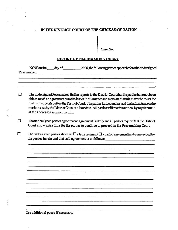## *.:.* IN THE DISTRICT COURT OF THE CHICKASAW NATION

Case No.

#### REPORT OF PEACEMAKING COURT

| The undersigned Peacemaker further reports to the District Court that the parties have not been<br>able to reach an agreement as to the issues in this matter and requests that this matter be re-set for<br>trial on the merits before the District Court. The parties further understand that a final trial on the<br>merits be set by the District Court at a later date. All parties will receive notice, by regular mail,<br>at the addresses supplied herein. |
|---------------------------------------------------------------------------------------------------------------------------------------------------------------------------------------------------------------------------------------------------------------------------------------------------------------------------------------------------------------------------------------------------------------------------------------------------------------------|
| The undersigned parties agree that an agreement is likely and all parties request that the District<br>Court allow extra time for the parties to continue to proceed in the Peacemaking Court.                                                                                                                                                                                                                                                                      |
| The undersigned parties state that $\Box$ a full agreement $\Box$ a partial agreement has been reached by                                                                                                                                                                                                                                                                                                                                                           |
|                                                                                                                                                                                                                                                                                                                                                                                                                                                                     |
|                                                                                                                                                                                                                                                                                                                                                                                                                                                                     |
|                                                                                                                                                                                                                                                                                                                                                                                                                                                                     |
|                                                                                                                                                                                                                                                                                                                                                                                                                                                                     |
|                                                                                                                                                                                                                                                                                                                                                                                                                                                                     |
|                                                                                                                                                                                                                                                                                                                                                                                                                                                                     |
|                                                                                                                                                                                                                                                                                                                                                                                                                                                                     |

Use additional pages if necessary.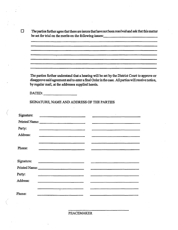D The parties further agree that there are issues that have not been resolved and ask that this matter be set for trial on the merits on the following issues:

and the control of the control of the control of the control of the control of the control of the control of t<br>The control of the control of the control of the control of the control of the control of the control of the c

 $\mathcal{L}^{\mathcal{L}}$ 

The parties further understand that a hearing will be set by the District Court to approve or disapprove said agreement and to enter a final Order in the case. All parties will receive notice, by regular mail, at the addresses supplied herein.

DATED:  $\qquad \qquad$ 

(

SIGNATURE, NAME AND ADDRESS OF THE PARTIES

| Signature: |                                                                                                                       |  |  |
|------------|-----------------------------------------------------------------------------------------------------------------------|--|--|
|            |                                                                                                                       |  |  |
| Party:     |                                                                                                                       |  |  |
| Address:   | <u> 1989 - Johann Barnett, fransk kongresu (* 1908)</u>                                                               |  |  |
|            |                                                                                                                       |  |  |
| Phone:     |                                                                                                                       |  |  |
|            |                                                                                                                       |  |  |
|            |                                                                                                                       |  |  |
|            | Printed Name:                                                                                                         |  |  |
| Party:     |                                                                                                                       |  |  |
| Address:   | <u> 1980 - Jan Barnett, fransk politik (d. 1980)</u>                                                                  |  |  |
|            |                                                                                                                       |  |  |
| Phone:     | <u> 1980 - Andrea Andrew Marie Marie Marie Marie Marie Marie Marie Marie Marie Marie Marie Marie Marie Marie Mari</u> |  |  |
|            |                                                                                                                       |  |  |

PEACEMAKER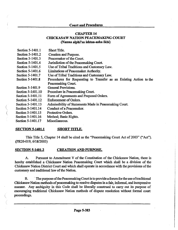#### Court and Procedures

#### **CHAPTER 14 CHICKASAW NATION PEACEMAKING COURT** (Nanna alphi'sa ishtaa-asha ikbi)

| Section 5-1401.1  | <b>Short Title.</b>                                                |
|-------------------|--------------------------------------------------------------------|
| Section 5-1401.2  | <b>Creation and Purpose.</b>                                       |
| Section 5-1401.3  | Peacemaker of the Court.                                           |
| Section 5-1401.4  | Jurisdiction of the Peacemaking Court.                             |
| Section 5-1401.5  | Use of Tribal Traditions and Customary Law.                        |
| Section 5-1401.6  | Limitations of Peacemaker Authority.                               |
| Section 5-1401.7  | Use of Tribal Traditions and Customary Law.                        |
| Section 5-1401.8  | Procedures for Requesting to Transfer as an Existing Action to the |
|                   | Peacemaking Court.                                                 |
| Section 5-1401.9  | <b>General Provisions.</b>                                         |
| Section 5-1401.10 | Procedure in Peacemaking Court.                                    |
| Section 5-1401.11 | Form of Agreements and Proposed Orders.                            |
| Section 5-1401.12 | Enforcement of Orders.                                             |
| Section 5-1401.13 | Admissibility of Statements Made in Peacemaking Court.             |
| Section 5-1401.14 | Conduct of a Peacemaker.                                           |
| Section 5-1401.15 | Protective Orders.                                                 |
| Section 5-1401.16 | Method; Basic Rights.                                              |
|                   |                                                                    |

Section 5-1401.17 Miscellaneous.

(

 $\big($ 

#### SECTION 5-1401.1 SHORT TITLE.

This Title *5,* Chapter 14 shall be cited as the "Peacemaking Court Act of 2003" ("Act"). (PR20-019, 6/18/2003)

#### SECTION 5-1401.2 CREATION AND PURPOSE.

A. Pursuant to Amendment V of the Constitution of the Chickasaw Nation, there is hereby established a Chickasaw Nation Peacemaking Court which shall be a division of the Chickasaw Nation District Court and which shall operate in accordance with the provisions of the custommy and traditional law of the Nation.

B. · The purpose of the Peacemaking Court is to provide a forum for the use of traditional Chickasaw Nation methods of peacemaking to resolve disputes in a fair, informal, and inexpensive manner. Any ambiguity in this Code shall be liberally construed to carry out its purpose of encouraging traditional Chickasaw Nation methods of dispute resolution without formal court proceedings.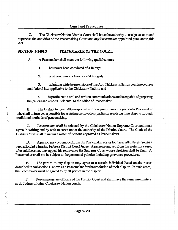C. The Chickasaw Nation District Court shall have the authority to assign cases to and supervise the activities of the Peacemaking Court and any Peacemaker appointed pursuant to this Act.

#### SECTION 5-1401.3 PEACEMAKER OF THE COURT.

*(*  ( '·

A. A Peacemaker shall meet the following qualifications:

1. has never been convicted of a felony;

2. is of good moral character and integrity;

3. is familiar with the provisions of this Act, Chickasaw Nation court procedures and federal law applicable to the Chickasaw Nation; and

4. is proficient in oral and written communications and is capable of preparing the papers and reports incidental to the office of Peacemaker.

B. The District Judge shall be responsible for assigning cases to a particular Peacemaker who shall in tum be responsible for assisting the involved parties in resolving their dispute through traditional methods of peacemaking.

C. Peacemakers shall be selected by the Chickasaw Nation Supreme Court and must agree in writing and by oath to serve under the authority of the District Court. The Clerk of the District Court shall maintain a roster of persons approved as Peacemakers.

D. A person may be removed from the Peacemaker roster for cause after the person has been afforded a hearing before a District Court Judge. A person removed from the roster for cause, after said hearing, may appeal his removal to the Supreme Court whose decision shall be final. A Peacemaker shall not be subject to the personnel policies including grievance procedures.

E. The parties to any dispute may agree to a certain individual listed on the roster described in Subsection C above as a Peacemaker for the resolution of their dispute. In such cases, the Peacemaker must be agreed to by all parties in the dispute.

F. Peacemakers are officers of the District Court and shall have the same immunities as do Judges of other Chickasaw Nation courts.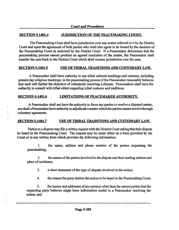#### SECTION 5-1401.4 JURISDICTION OF THE PEACEMAKING COURT.

The Peacemaking Court shall have jurisdiction over any matter referred to it by the District Court and upon the agreement of both parties who shall also agree to be bound by the decision of the Peacemaking Court as endorsed by the District Court. If a Peacemaker determines that the peacemaking process cannot produce an agreed resolution of the matter, the Peacemaker shall transfer the case back to the District Court which shall resume jurisdiction over the case.

#### SECTION 5-1401.5 USE OF TRIBAL TRADITIONS AND CUSTOMARY LAW.

A Peacemaker shall have authority to use tribal cultural teachings and customs, including present day religious teachings, in the peacemaking process if the Peacemaker reasonably believes that such will further the objective of voluntarily resolving a dispute. Peacemakers shall have the authority to consult with tribal elders regarding tribal customs and traditions.

#### SECTION 5-1401.6 LIMITATIONS OF PEACEMAKER AUTHORITY.

 $\left(\right)$ 

· A Peacemaker shall not have the authority to force any parties to resolve a disputed matter, nor shall a Peacemaker have authority to adjudicate amatter which the parties cannot resolve through voluntary agreement.

#### SECTION 5-1401.7 USE OF TRIBAL TRADITIONS AND CUSTOMARY LAW.

Parties to a dispute may file a written request with the District Court asking that their dispute be heard in the Peacemaking Court. The request may be made either on a form provided by the Court or in any written form which provides the following information:

I. the name, address and phone number of the person requesting the peacemaking;

2. the names of the parties involved in the dispute and their mailing address and place of residence;

3. a short statement of the type of dispute involved in the action;

4. the reason the party desires the action to be heard in the Peacemaking Court;

5. the names and addresses of any persons other than the named parties that the requesting party believes might have information useful to a Peacemaker resolving the action; and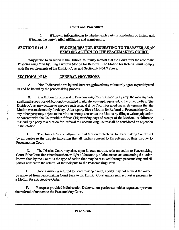#### Court and Procedures

6. if known, information as to whether each party is non-Indian or Indian, and, if Indian, the party's tribal affiliation and membership.

#### SECTION 5-1401.8 PROCEDURES FOR REQUESTING TO TRANSFER AS AN EXISTING ACTION TO THE PEACEMAKING COURT.

Any person to an action in the District Court may request that the Court refer the case to the Peacemaking Court by filing a written Motion for Referral. The Motion for Referral must comply with the requirements of the District Court and Section 5-1401.7 above.

#### SECTION 5-1401.9 GENERAL PROVISIONS.

(

 $\left($ 

 $\bigg($ 

 $\left(\right)$ 

A. Non-Indians who are injured, hurt or aggrieved may voluntarily agree to participated in and be bound by the peacemaking process.

B. If a Motion for Referral to Peacemaking Court is made by a party, the moving party shall mail a copy of said Motion, by certified mail, return receipt requested, to the other parties. The District Court may decline to approve such referral if the Court, for good cause, determines that the Motion was made mainly for delay. After a party files a Motion for Referral to Peacemaking Court, any other party may object to the Motion or may consent to the Motion by filing a written objection or consent with the Court within fifteen (15) working days of receipt of the Motion. A failure to respond by a party to a Motion for Referral to Peacemaking Court shall be considered an objection to the motion.

C. The District Court shall grant a Joint Motion for Referral to Peacemaking Court filed by all parties to the dispute indicating that all parties consent to the referral of their dispute to Peacemaking Court.

D. The District Court may also, upon its own motion, refer an action to Peacemaking Court if the Court finds that the action, in light of the totality of circumstances concerning the action !mown then by the Court, is the type of action that may be resolved through peacemaking and all parties consent to the referral of their dispute to the Peacemaking Court.

E. Once a matter is referred to Peacemaking Court, a party may not request the matter be removed from Peacemaking Court back to the District Court unless such request is pursuant to a Motion for a Protective Order.

F. Except as provided in Subsection D above, non-parties can neither request nor prevent the referral of matters to the Peacemaking Court.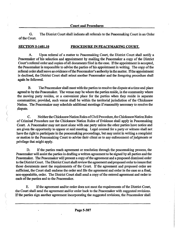#### Court and Procedures

G. The District Court shall indicate all referrals to the Peacemaking Court in an Order of the Court.

## SECTION 5-1401.10 PROCEDURE IN PEACEMAKING COURT.

A. Upon referral of a matter to Peacemaking Court, the District Court shall notify a Peacemaker of his selection and appointment by mailing the Peacemaker a copy of the District Court's referral order and copies of all documents filed in the case. If the appointment is accepted, the Peacemaker is responsible to advise the parties of his appointment in writing. The copy of the referral order shall serve as evidence of the Peacemaker's authority in the matter. If the appointment is declined, the District Court shall select another Peacemaker and the foregoing procedure shall again be followed.

B. The Peacemaker shall meet with the parties to resolve the dispute at a time and place agreed to by the Peacemaker. The venue may be where the parties reside, in the community where the moving party resides, or a convenient place for the parties when they reside in separate communities; provided, such venue shall be within the territorial jurisdiction of the Chickasaw Nation. The Peacemaker may schedule additional meetings if reasonably necessary to resolve the dispute.

C. Neither the Chickasaw Nation Rules of Civil Procedure, the Chickasaw Nation Rules of Criminal Procedure nor the Chickasaw Nation Rules of Evidence shall apply in Peacemaking Court. A Peacemaker may not meet alone with one party unless the other parties have notice and are given the opportunity to appear at said meeting. Legal counsel for a party or witness shall not have the right to participate in the peacemaking proceedings, but may assist in writing a complaint or motion to the Peacemaking Court to advise their client as to any enforcement of judgments or privilege that might apply.

( (

> D. If the parties reach agreement or resolution through the peacemaking process, the Peacemaker will assist the parties in drafting a written agreement to be signed by all parties and the Peacemaker. The Peacemaker will present a copy of the agreement and a proposed dismissal order to the District Court. The District Court shall review the agreement and proposed order to insure that those documents meet the requirements of the Court. If the agreement and proposed order are sufficient, the Court shall endorse the order and file the agreement and order in the case as a final, non-appealable, order. The District Court shall send a copy of the entered agreement and order to each of the parties and to the Peacemaker.

> E. If the agreement and/or order does not meet the requirements of the District Court, the Court shall send the agreement and/or order back to the Peacemaker with suggested revisions. If the parties sign another agreement incorporating the suggested revisions, the Peacemaker shall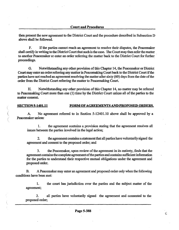then present the new agreement to the District Court and the procedure described in Subsection D above shall be followed.

F. If the parties cannot reach an agreement to resolve their disputes, the Peacemaker shall certify in writing to the District Court that such is the case. The Court may then refer the matter to another Peacemaker or enter an order referring the matter back to the District Court for further proceedings.

G. Notwithstanding any other provision of this Chapter 14, the Peacemaker or District Court may enter an order referring any matter in Peacemaking Court back to the District Court if the parties have not reached an agreement resolving the matter after sixty (60) days from the date of the order from the District Court referring the matter to Peacemaking Court.

H. Notwithstanding any other provision of this Chapter 14, no matter may be referred to Peacemaking Court more than one (1) time by the District Court unless all of the parties to the matter consent.

#### SECTION 5-1401.11 FORM OF AGREEMENTS AND PROPOSED ORDERS.

A. No agreement referred to in Section 5-12401.10 above shall be approved by a Peacemaker unless:

1. the agreement contains a provision stating that the agreement resolves all issues between the parties involved in the legal action;

2. the agreement contains a statement that all parties have voluntarily signed the agreement and consent to the proposed order; and

3. the Peacemaker, upon review of the agreement in its entirety, finds that the agreement contains the complete agreement of the parties and contains sufficient information for the parties to understand their respective mutual obligations under the agreement and proposed order.

B. A Peacemaker may enter an agreement and proposed order only when the following conditions have been met:

I. the court has jurisdiction over the parties and the subject matter of the agreement;

2. all parties have voluntarily signed the agreement and consented to the proposed order;

¢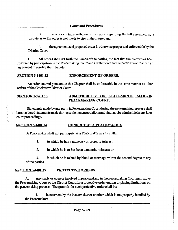3. the order contains sufficient information regarding the full agreement so a dispute as to the order is not likely to rise in the future; and

4. the agreement and proposed order is otherwise proper and enforceable by the District Court.

C. All orders shall set forth the names of the parties, the fact that the matter has been resolved by participation in the Peacemaking Court and a statement that the parties have reached an agreement to resolve their dispute.

#### SECTION 5-1401.12 ENFORCEMENT OF ORDERS.

An order entered pursuant to this Chapter shall be enforceable in the same manner as other orders of the Chickasaw District Court.

#### SECTION 5-1401.13 ADMISSIBILITY OF STATEMENTS MADE IN PEACEMAKING COURT.

Statements made by any party in Peacemaking Court during the peacemaking process shall be considered statements made during settlement negotiations and shall not be admissible in any later court proceedings.

#### SECTION 5-1401.14 CONDUCT OF A PEACEMAKER.

A Peacemaker shall not participate as a Peacemaker in any matter:

I. in which he has a monetary or property interest;

2. in which he is or has been a material witness; or

3. in which he is related by blood or marriage within the second degree to any of the parties.

#### SECTION 5-1401.15 PROTECTIVE ORDERS.

(

(

A. Any party or witness involved in peacemaking in the Peacemaking Court may move the Peacemaking Court or the District Court for a protective order ending or placing limitations on the peacemaking process. The grounds for such protective order shall be:

I. harassment by the Peacemaker or another which is not properly handled by the Peacemaker;

**PROTECTION** 

I

I

International Contractor (1986)<br>International Contractor (1986)<br>International Contractor (1986) Particularly C − ~ ~